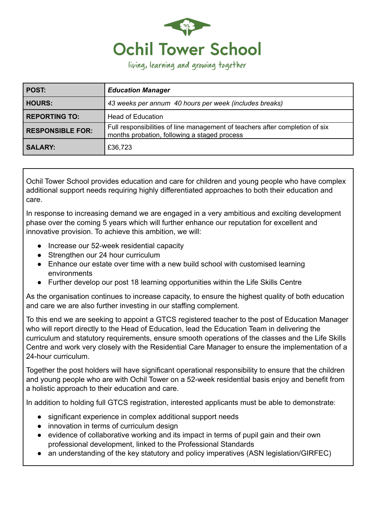

living, learning and growing together

| POST:                   | <b>Education Manager</b>                                                                                                     |
|-------------------------|------------------------------------------------------------------------------------------------------------------------------|
| <b>HOURS:</b>           | 43 weeks per annum 40 hours per week (includes breaks)                                                                       |
| REPORTING TO:           | Head of Education                                                                                                            |
| <b>RESPONSIBLE FOR:</b> | Full responsibilities of line management of teachers after completion of six<br>months probation, following a staged process |
| <b>SALARY:</b>          | £36,723                                                                                                                      |

Ochil Tower School provides education and care for children and young people who have complex additional support needs requiring highly differentiated approaches to both their education and care.

In response to increasing demand we are engaged in a very ambitious and exciting development phase over the coming 5 years which will further enhance our reputation for excellent and innovative provision. To achieve this ambition, we will:

- Increase our 52-week residential capacity
- Strengthen our 24 hour curriculum
- Enhance our estate over time with a new build school with customised learning environments
- Further develop our post 18 learning opportunities within the Life Skills Centre

As the organisation continues to increase capacity, to ensure the highest quality of both education and care we are also further investing in our staffing complement.

To this end we are seeking to appoint a GTCS registered teacher to the post of Education Manager who will report directly to the Head of Education, lead the Education Team in delivering the curriculum and statutory requirements, ensure smooth operations of the classes and the Life Skills Centre and work very closely with the Residential Care Manager to ensure the implementation of a 24-hour curriculum.

Together the post holders will have significant operational responsibility to ensure that the children and young people who are with Ochil Tower on a 52-week residential basis enjoy and benefit from a holistic approach to their education and care.

In addition to holding full GTCS registration, interested applicants must be able to demonstrate:

- significant experience in complex additional support needs
- innovation in terms of curriculum design
- evidence of collaborative working and its impact in terms of pupil gain and their own professional development, linked to the Professional Standards
- an understanding of the key statutory and policy imperatives (ASN legislation/GIRFEC)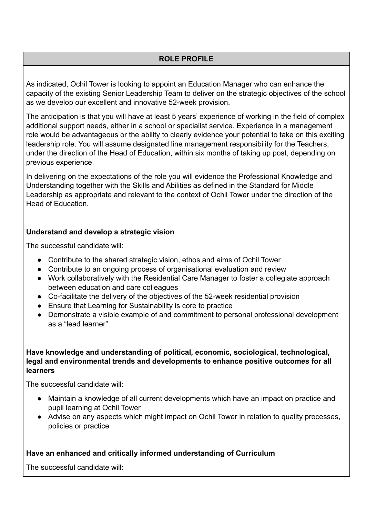# **ROLE PROFILE**

As indicated, Ochil Tower is looking to appoint an Education Manager who can enhance the capacity of the existing Senior Leadership Team to deliver on the strategic objectives of the school as we develop our excellent and innovative 52-week provision.

The anticipation is that you will have at least 5 years' experience of working in the field of complex additional support needs, either in a school or specialist service. Experience in a management role would be advantageous or the ability to clearly evidence your potential to take on this exciting leadership role. You will assume designated line management responsibility for the Teachers, under the direction of the Head of Education, within six months of taking up post, depending on previous experience.

In delivering on the expectations of the role you will evidence the Professional Knowledge and Understanding together with the Skills and Abilities as defined in the Standard for Middle Leadership as appropriate and relevant to the context of Ochil Tower under the direction of the Head of Education.

## **Understand and develop a strategic vision**

The successful candidate will:

- **●** Contribute to the shared strategic vision, ethos and aims of Ochil Tower
- **●** Contribute to an ongoing process of organisational evaluation and review
- **●** Work collaboratively with the Residential Care Manager to foster a collegiate approach between education and care colleagues
- **●** Co-facilitate the delivery of the objectives of the 52-week residential provision
- **●** Ensure that Learning for Sustainability is core to practice
- **●** Demonstrate a visible example of and commitment to personal professional development as a "lead learner"

## **Have knowledge and understanding of political, economic, sociological, technological, legal and environmental trends and developments to enhance positive outcomes for all learners**

The successful candidate will:

- Maintain a knowledge of all current developments which have an impact on practice and pupil learning at Ochil Tower
- Advise on any aspects which might impact on Ochil Tower in relation to quality processes, policies or practice

## **Have an enhanced and critically informed understanding of Curriculum**

The successful candidate will: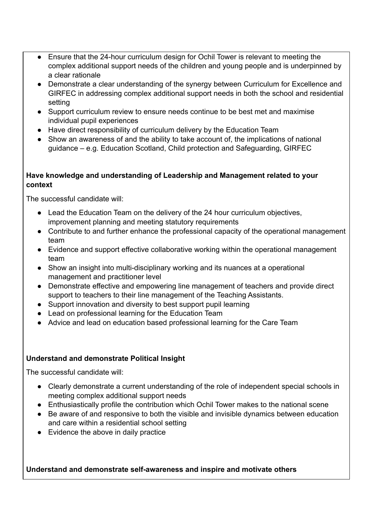- **●** Ensure that the 24-hour curriculum design for Ochil Tower is relevant to meeting the complex additional support needs of the children and young people and is underpinned by a clear rationale
- Demonstrate a clear understanding of the synergy between Curriculum for Excellence and GIRFEC in addressing complex additional support needs in both the school and residential setting
- **●** Support curriculum review to ensure needs continue to be best met and maximise individual pupil experiences
- Have direct responsibility of curriculum delivery by the Education Team
- **●** Show an awareness of and the ability to take account of, the implications of national guidance – e.g. Education Scotland, Child protection and Safeguarding, GIRFEC

## **Have knowledge and understanding of Leadership and Management related to your context**

The successful candidate will:

- **●** Lead the Education Team on the delivery of the 24 hour curriculum objectives, improvement planning and meeting statutory requirements
- **●** Contribute to and further enhance the professional capacity of the operational management team
- **●** Evidence and support effective collaborative working within the operational management team
- **●** Show an insight into multi-disciplinary working and its nuances at a operational management and practitioner level
- **●** Demonstrate effective and empowering line management of teachers and provide direct support to teachers to their line management of the Teaching Assistants.
- **●** Support innovation and diversity to best support pupil learning
- **●** Lead on professional learning for the Education Team
- Advice and lead on education based professional learning for the Care Team

# **Understand and demonstrate Political Insight**

The successful candidate will:

- Clearly demonstrate a current understanding of the role of independent special schools in meeting complex additional support needs
- Enthusiastically profile the contribution which Ochil Tower makes to the national scene
- Be aware of and responsive to both the visible and invisible dynamics between education and care within a residential school setting
- Evidence the above in daily practice

**Understand and demonstrate self-awareness and inspire and motivate others**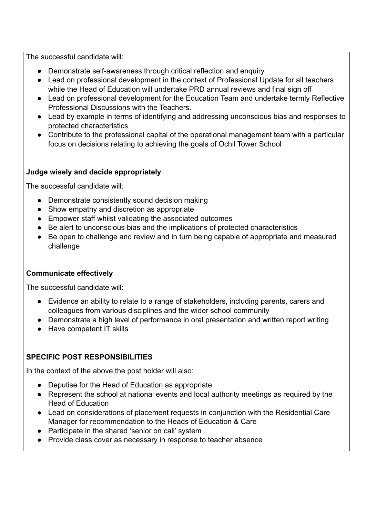The successful candidate will:

- **●** Demonstrate self-awareness through critical reflection and enquiry
- **●** Lead on professional development in the context of Professional Update for all teachers while the Head of Education will undertake PRD annual reviews and final sign off
- **●** Lead on professional development for the Education Team and undertake termly Reflective Professional Discussions with the Teachers.
- **●** Lead by example in terms of identifying and addressing unconscious bias and responses to protected characteristics
- **●** Contribute to the professional capital of the operational management team with a particular focus on decisions relating to achieving the goals of Ochil Tower School

## **Judge wisely and decide appropriately**

The successful candidate will:

- **●** Demonstrate consistently sound decision making
- **●** Show empathy and discretion as appropriate
- **●** Empower staff whilst validating the associated outcomes
- **●** Be alert to unconscious bias and the implications of protected characteristics
- **●** Be open to challenge and review and in turn being capable of appropriate and measured challenge

# **Communicate effectively**

The successful candidate will:

- **●** Evidence an ability to relate to a range of stakeholders, including parents, carers and colleagues from various disciplines and the wider school community
- **●** Demonstrate a high level of performance in oral presentation and written report writing
- **●** Have competent IT skills

# **SPECIFIC POST RESPONSIBILITIES**

In the context of the above the post holder will also:

- Deputise for the Head of Education as appropriate
- Represent the school at national events and local authority meetings as required by the Head of Education
- Lead on considerations of placement requests in conjunction with the Residential Care Manager for recommendation to the Heads of Education & Care
- Participate in the shared 'senior on call' system
- Provide class cover as necessary in response to teacher absence